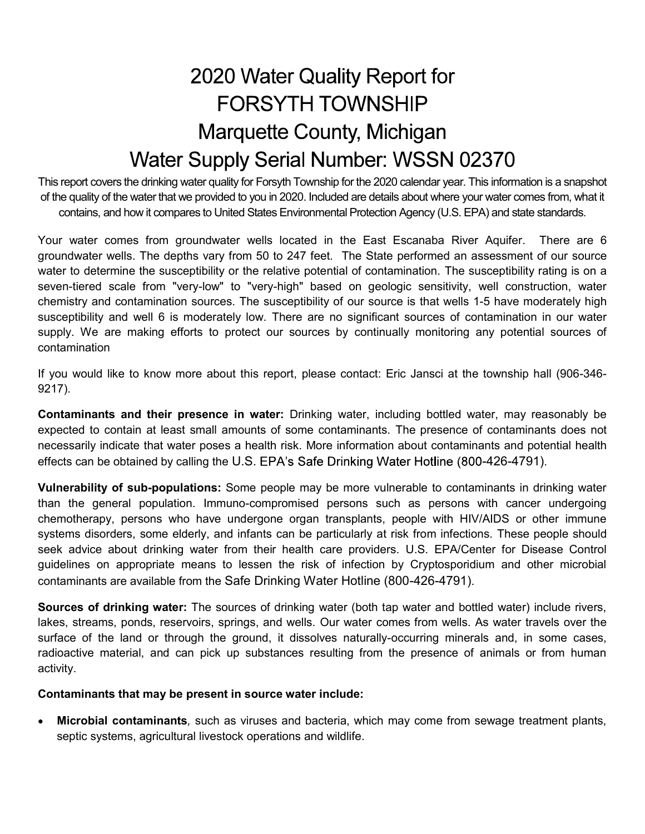This report covers the drinking water quality for Forsyth Township for the 2020 calendar year. This information is a snapshot of the quality of the water that we provided to you in 2020. Included are details about where your water comes from, what it contains, and how it compares to United States Environmental Protection Agency (U.S. EPA) and state standards.

2020 Water Quality Report for<br>FORSYTH TOWNSHIP<br>Water Supply Serial Number: WSSN 02370<br>This report covers the drinking water quality for Forsyth Township for the 2020 calendar year. This information is a snapshot<br>of the qua groundwater wells. The depths vary from 50 to 247 feet. The State performed an assessment of our source water to determine the susceptibility or the relative potential of contamination. The susceptibility rating is on a seven-tiered scale from "very-low" to "very-high" based on geologic sensitivity, well construction, water chemistry and contamination sources. The susceptibility of our source is that wells 1-5 have moderately high susceptibility and well 6 is moderately low. There are no significant sources of contamination in our water supply. We are making efforts to protect our sources by continually monitoring any potential sources of contamination

If you would like to know more about this report, please contact: Eric Jansci at the township hall (906-346- 9217).

Contaminants and their presence in water: Drinking water, including bottled water, may reasonably be expected to contain at least small amounts of some contaminants. The presence of contaminants does not necessarily indicate that water poses a health risk. More information about contaminants and potential health effects can be obtained by calling the U.S. EPA's Safe Drinking Water Hotline (800-426-4791).

Vulnerability of sub-populations: Some people may be more vulnerable to contaminants in drinking water than the general population. Immuno-compromised persons such as persons with cancer undergoing chemotherapy, persons who have undergone organ transplants, people with HIV/AIDS or other immune systems disorders, some elderly, and infants can be particularly at risk from infections. These people should seek advice about drinking water from their health care providers. U.S. EPA/Center for Disease Control guidelines on appropriate means to lessen the risk of infection by Cryptosporidium and other microbial contaminants are available from the Safe Drinking Water Hotline (800-426-4791).

Sources of drinking water: The sources of drinking water (both tap water and bottled water) include rivers, lakes, streams, ponds, reservoirs, springs, and wells. Our water comes from wells. As water travels over the surface of the land or through the ground, it dissolves naturally-occurring minerals and, in some cases, radioactive material, and can pick up substances resulting from the presence of animals or from human activity.

### Contaminants that may be present in source water include:

Microbial contaminants, such as viruses and bacteria, which may come from sewage treatment plants,  $\bullet$ septic systems, agricultural livestock operations and wildlife.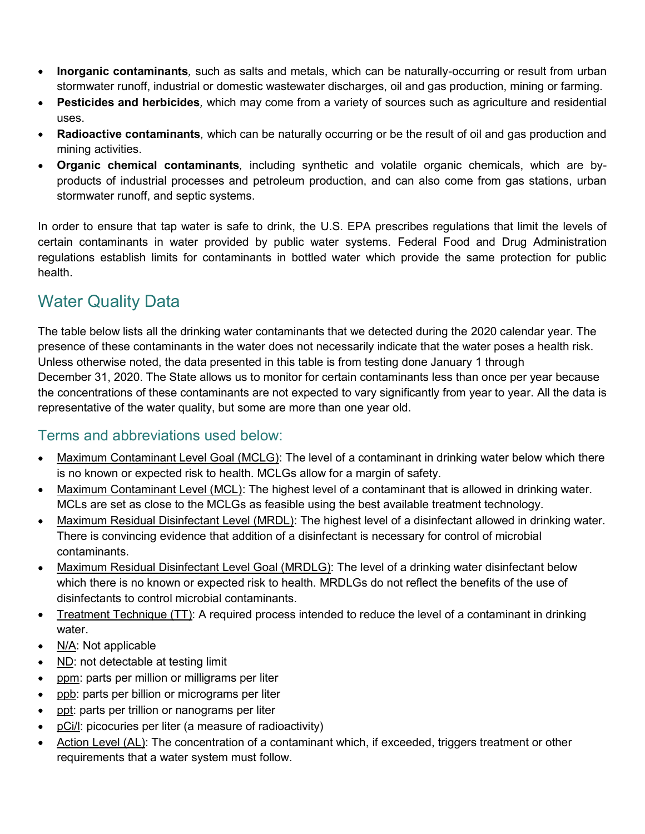- Inorganic contaminants, such as salts and metals, which can be naturally-occurring or result from urban stormwater runoff, industrial or domestic wastewater discharges, oil and gas production, mining or farming.
- Pesticides and herbicides, which may come from a variety of sources such as agriculture and residential uses.
- Radioactive contaminants, which can be naturally occurring or be the result of oil and gas production and mining activities.
- Organic chemical contaminants, including synthetic and volatile organic chemicals, which are byproducts of industrial processes and petroleum production, and can also come from gas stations, urban stormwater runoff, and septic systems.

In order to ensure that tap water is safe to drink, the drink of ensure the same production, mining or ferming.<br>
In order to ensure that the total of drink may come from a variety of sources such as agriculture and residen certain contaminants in water provided by public water systems. Federal Food and Drug Administration regulations establish limits for contaminants in bottled water which provide the same protection for public health.

# Water Quality Data

• Inorganic contaminants, such as salts and metals, which can be naturally-occurring or result from urban stormwater runoff, industrial or domestic wastewater discharges, oil and gas production, mining or farming.<br>
• Pest presence of these contaminants in the water does not necessarily indicate that the water poses a health risk. Unless otherwise noted, the data presented in this table is from testing done January 1 through December 31, 2020. The State allows us to monitor for certain contaminants less than once per year because Uses.<br>
• Radioactive contaminants, which can be naturally occurring or be the result of oil and gas production and<br>
• Organic chemical contaminants, including synthetic and volatile organic chemicals, which are by-<br>
• Orga representative of the water quality, but some are more than one year old.

## Terms and abbreviations used below:

- Maximum Contaminant Level Goal (MCLG): The level of a contaminant in drinking water below which there is no known or expected risk to health. MCLGs allow for a margin of safety.
- Maximum Contaminant Level (MCL): The highest level of a contaminant that is allowed in drinking water. MCLs are set as close to the MCLGs as feasible using the best available treatment technology.
- Maximum Residual Disinfectant Level (MRDL): The highest level of a disinfectant allowed in drinking water.  $\bullet$ There is convincing evidence that addition of a disinfectant is necessary for control of microbial contaminants.
- Maximum Residual Disinfectant Level Goal (MRDLG): The level of a drinking water disinfectant below which there is no known or expected risk to health. MRDLGs do not reflect the benefits of the use of disinfectants to control microbial contaminants.
- Treatment Technique (TT): A required process intended to reduce the level of a contaminant in drinking  $\bullet$ water.
- N/A: Not applicable
- ND: not detectable at testing limit  $\bullet$
- ppm: parts per million or milligrams per liter
- ppb: parts per billion or micrograms per liter  $\bullet$
- ppt: parts per trillion or nanograms per liter
- pCi/l: picocuries per liter (a measure of radioactivity)  $\bullet$
- Action Level (AL): The concentration of a contaminant which, if exceeded, triggers treatment or other  $\bullet$ requirements that a water system must follow.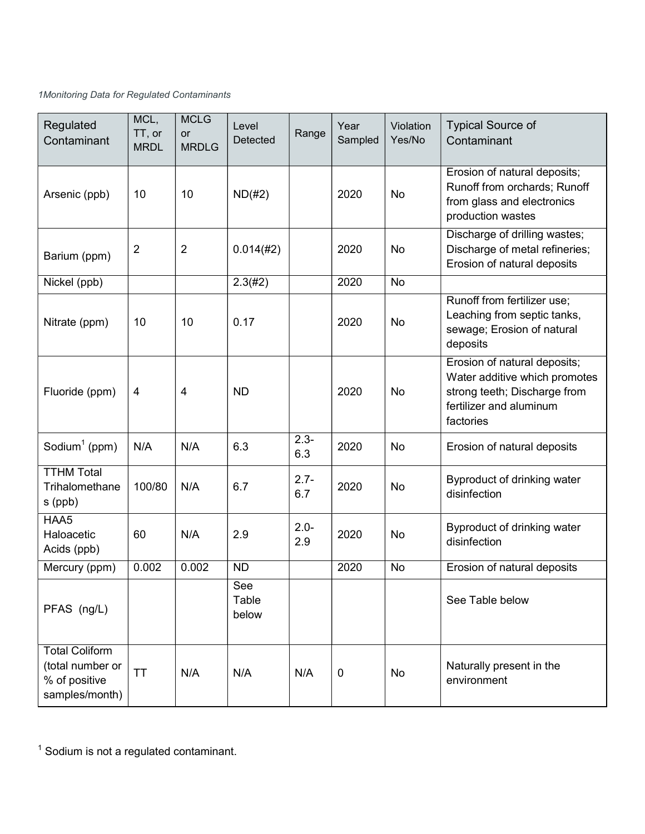## 1Monitoring Data for Regulated Contaminants

| Regulated<br>Contaminant                                                     | MCL,<br>TT, or<br><b>MRDL</b> | <b>MCLG</b><br>or<br><b>MRDLG</b> | Level<br>Detected     | Range          | Year<br>Sampled | Violation<br>Yes/No | <b>Typical Source of</b><br>Contaminant                                                                                               |  |
|------------------------------------------------------------------------------|-------------------------------|-----------------------------------|-----------------------|----------------|-----------------|---------------------|---------------------------------------------------------------------------------------------------------------------------------------|--|
| Arsenic (ppb)                                                                | 10                            | 10                                | $ND(\#2)$             |                | 2020            | No                  | Erosion of natural deposits;<br>Runoff from orchards; Runoff<br>from glass and electronics<br>production wastes                       |  |
| Barium (ppm)                                                                 | $\overline{2}$                | 2                                 | 0.014(#2)             |                | 2020            | No                  | Discharge of drilling wastes;<br>Discharge of metal refineries;<br>Erosion of natural deposits                                        |  |
| Nickel (ppb)                                                                 |                               |                                   | 2.3(#2)               |                | 2020            | <b>No</b>           |                                                                                                                                       |  |
| Nitrate (ppm)                                                                | 10                            | 10                                | 0.17                  |                | 2020            | No                  | Runoff from fertilizer use;<br>Leaching from septic tanks,<br>sewage; Erosion of natural<br>deposits                                  |  |
| Fluoride (ppm)                                                               | $\overline{4}$                | 4                                 | <b>ND</b>             |                | 2020            | No                  | Erosion of natural deposits;<br>Water additive which promotes<br>strong teeth; Discharge from<br>fertilizer and aluminum<br>factories |  |
| Sodium <sup>1</sup> (ppm)                                                    | N/A                           | N/A                               | 6.3                   | $2.3 -$<br>6.3 | 2020            | No                  | Erosion of natural deposits                                                                                                           |  |
| <b>TTHM Total</b><br>Trihalomethane<br>s (ppb)                               | 100/80                        | N/A                               | 6.7                   | $2.7 -$<br>6.7 | 2020            | No                  | Byproduct of drinking water<br>disinfection                                                                                           |  |
| HAA5<br>Haloacetic<br>Acids (ppb)                                            | 60                            | N/A                               | 2.9                   | $2.0 -$<br>2.9 | 2020            | No                  | Byproduct of drinking water<br>disinfection                                                                                           |  |
| Mercury (ppm)                                                                | 0.002                         | 0.002                             | <b>ND</b>             |                | 2020            | No                  | Erosion of natural deposits                                                                                                           |  |
| PFAS (ng/L)                                                                  |                               |                                   | See<br>Table<br>below |                |                 |                     | See Table below                                                                                                                       |  |
| <b>Total Coliform</b><br>(total number or<br>% of positive<br>samples/month) | <b>TT</b>                     | N/A                               | N/A                   | N/A            | 0               | No                  | Naturally present in the<br>environment                                                                                               |  |

 $<sup>1</sup>$  Sodium is not a regulated contaminant.</sup>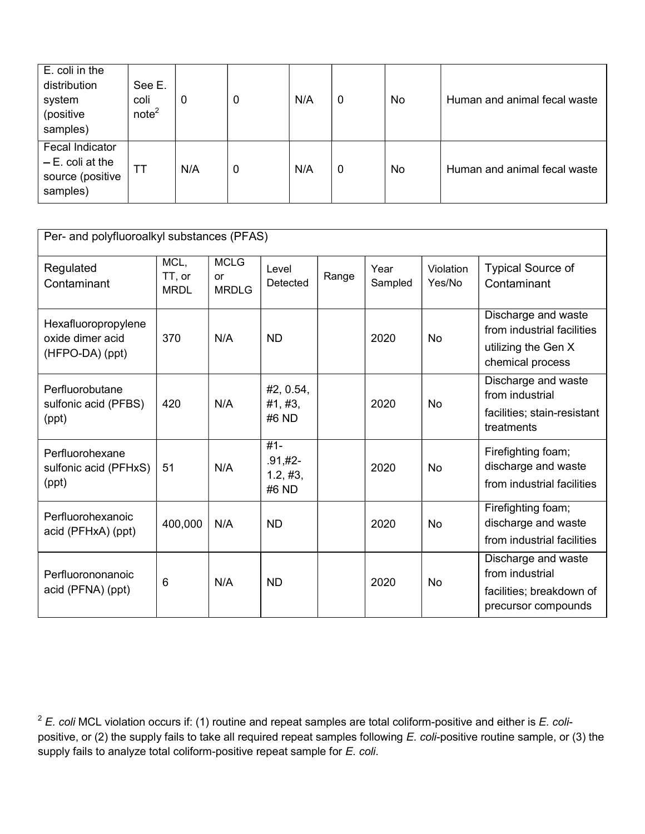| E. coli in the<br>distribution<br>system<br>(positive<br>samples)     | See E.<br>coli<br>note <sup>2</sup> | $\mathbf 0$ | 0 | N/A | $\mathbf 0$ | <b>No</b> | Human and animal fecal waste |  |
|-----------------------------------------------------------------------|-------------------------------------|-------------|---|-----|-------------|-----------|------------------------------|--|
| Fecal Indicator<br>$- E.$ coli at the<br>source (positive<br>samples) | <b>TT</b>                           | N/A         | 0 | N/A | $\mathbf 0$ | <b>No</b> | Human and animal fecal waste |  |

| Per- and polyfluoroalkyl substances (PFAS)                 |                               |                                          |                                           |       |                 |                     |                                                                                              |
|------------------------------------------------------------|-------------------------------|------------------------------------------|-------------------------------------------|-------|-----------------|---------------------|----------------------------------------------------------------------------------------------|
| Regulated<br>Contaminant                                   | MCL,<br>TT, or<br><b>MRDL</b> | <b>MCLG</b><br><b>or</b><br><b>MRDLG</b> | Level<br>Detected                         | Range | Year<br>Sampled | Violation<br>Yes/No | <b>Typical Source of</b><br>Contaminant                                                      |
| Hexafluoropropylene<br>oxide dimer acid<br>(HFPO-DA) (ppt) | 370                           | N/A                                      | <b>ND</b>                                 |       | 2020            | <b>No</b>           | Discharge and waste<br>from industrial facilities<br>utilizing the Gen X<br>chemical process |
| Perfluorobutane<br>sulfonic acid (PFBS)<br>(ppt)           | 420                           | N/A                                      | #2, 0.54,<br>#1, #3,<br>#6 ND             |       | 2020            | <b>No</b>           | Discharge and waste<br>from industrial<br>facilities; stain-resistant<br>treatments          |
| Perfluorohexane<br>sulfonic acid (PFHxS)<br>(ppt)          | 51                            | N/A                                      | $#1 -$<br>$.91, #2-$<br>1.2, #3,<br>#6 ND |       | 2020            | <b>No</b>           | Firefighting foam;<br>discharge and waste<br>from industrial facilities                      |
| Perfluorohexanoic<br>acid (PFHxA) (ppt)                    | 400,000                       | N/A                                      | <b>ND</b>                                 |       | 2020            | No                  | Firefighting foam;<br>discharge and waste<br>from industrial facilities                      |
| Perfluorononanoic<br>acid (PFNA) (ppt)                     | 6                             | N/A                                      | <b>ND</b>                                 |       | 2020            | <b>No</b>           | Discharge and waste<br>from industrial<br>facilities; breakdown of<br>precursor compounds    |

 $2^2$  E. coli MCL violation occurs if: (1) routine and repeat samples are total coliform-positive and either is E. colipositive, or (2) the supply fails to take all required repeat samples following E. coli-positive routine sample, or (3) the supply fails to analyze total coliform-positive repeat sample for E. coli.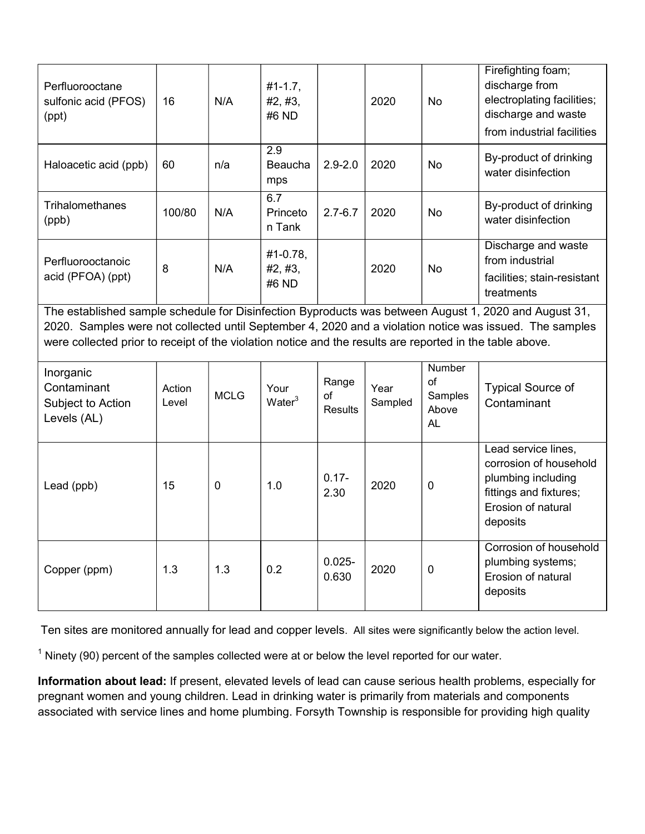| $\overline{2.9}$<br>By-product of drinking<br>$2.9 - 2.0$<br>2020<br>Haloacetic acid (ppb)<br>60<br>n/a<br>Beaucha<br><b>No</b><br>water disinfection<br>mps<br>6.7<br><b>Trihalomethanes</b><br>By-product of drinking<br>N/A<br>100/80<br>Princeto<br>$2.7 - 6.7$<br>2020<br><b>No</b><br>water disinfection<br>(ppb)<br>n Tank<br>Discharge and waste<br>#1-0.78,<br>from industrial<br>Perfluorooctanoic<br>8<br>N/A<br>#2, #3,<br>2020<br>No<br>acid (PFOA) (ppt)<br>facilities; stain-resistant<br>#6 ND<br>treatments<br>The established sample schedule for Disinfection Byproducts was between August 1, 2020 and August 31,<br>2020. Samples were not collected until September 4, 2020 and a violation notice was issued. The samples<br>were collected prior to receipt of the violation notice and the results are reported in the table above.<br>Number<br>Inorganic<br>of<br>Range<br>Contaminant<br><b>Typical Source of</b><br>Your<br>Action<br>Year<br><b>MCLG</b><br>of<br>Samples<br>Water <sup>3</sup><br>Contaminant<br>Subject to Action<br>Sampled<br>Level<br><b>Results</b><br>Above<br>Levels (AL)<br><b>AL</b><br>Lead service lines,<br>corrosion of household<br>$0.17 -$<br>plumbing including<br>15<br>$\mathbf 0$<br>1.0<br>2020<br>$\pmb{0}$<br>Lead (ppb)<br>fittings and fixtures;<br>2.30<br>Erosion of natural<br>deposits<br>Corrosion of household<br>$0.025 -$<br>plumbing systems;<br>1.3<br>1.3<br>0.2<br>2020<br>$\pmb{0}$<br>Copper (ppm)<br>Erosion of natural<br>0.630<br>deposits | Perfluorooctane<br>sulfonic acid (PFOS)<br>(ppt) | 16 | N/A | $#1 - 1.7,$<br>#2, #3,<br>#6 ND | 2020 | <b>No</b> | Firefighting foam;<br>discharge from<br>electroplating facilities;<br>discharge and waste<br>from industrial facilities |
|-------------------------------------------------------------------------------------------------------------------------------------------------------------------------------------------------------------------------------------------------------------------------------------------------------------------------------------------------------------------------------------------------------------------------------------------------------------------------------------------------------------------------------------------------------------------------------------------------------------------------------------------------------------------------------------------------------------------------------------------------------------------------------------------------------------------------------------------------------------------------------------------------------------------------------------------------------------------------------------------------------------------------------------------------------------------------------------------------------------------------------------------------------------------------------------------------------------------------------------------------------------------------------------------------------------------------------------------------------------------------------------------------------------------------------------------------------------------------------------------------------------------------------------|--------------------------------------------------|----|-----|---------------------------------|------|-----------|-------------------------------------------------------------------------------------------------------------------------|
|                                                                                                                                                                                                                                                                                                                                                                                                                                                                                                                                                                                                                                                                                                                                                                                                                                                                                                                                                                                                                                                                                                                                                                                                                                                                                                                                                                                                                                                                                                                                     |                                                  |    |     |                                 |      |           |                                                                                                                         |
|                                                                                                                                                                                                                                                                                                                                                                                                                                                                                                                                                                                                                                                                                                                                                                                                                                                                                                                                                                                                                                                                                                                                                                                                                                                                                                                                                                                                                                                                                                                                     |                                                  |    |     |                                 |      |           |                                                                                                                         |
|                                                                                                                                                                                                                                                                                                                                                                                                                                                                                                                                                                                                                                                                                                                                                                                                                                                                                                                                                                                                                                                                                                                                                                                                                                                                                                                                                                                                                                                                                                                                     |                                                  |    |     |                                 |      |           |                                                                                                                         |
|                                                                                                                                                                                                                                                                                                                                                                                                                                                                                                                                                                                                                                                                                                                                                                                                                                                                                                                                                                                                                                                                                                                                                                                                                                                                                                                                                                                                                                                                                                                                     |                                                  |    |     |                                 |      |           |                                                                                                                         |
|                                                                                                                                                                                                                                                                                                                                                                                                                                                                                                                                                                                                                                                                                                                                                                                                                                                                                                                                                                                                                                                                                                                                                                                                                                                                                                                                                                                                                                                                                                                                     |                                                  |    |     |                                 |      |           |                                                                                                                         |
|                                                                                                                                                                                                                                                                                                                                                                                                                                                                                                                                                                                                                                                                                                                                                                                                                                                                                                                                                                                                                                                                                                                                                                                                                                                                                                                                                                                                                                                                                                                                     |                                                  |    |     |                                 |      |           |                                                                                                                         |
|                                                                                                                                                                                                                                                                                                                                                                                                                                                                                                                                                                                                                                                                                                                                                                                                                                                                                                                                                                                                                                                                                                                                                                                                                                                                                                                                                                                                                                                                                                                                     |                                                  |    |     |                                 |      |           |                                                                                                                         |

Ten sites are monitored annually for lead and copper levels. All sites were significantly below the action level.

 $1$  Ninety (90) percent of the samples collected were at or below the level reported for our water.

Information about lead: If present, elevated levels of lead can cause serious health problems, especially for pregnant women and young children. Lead in drinking water is primarily from materials and components associated with service lines and home plumbing. Forsyth Township is responsible for providing high quality